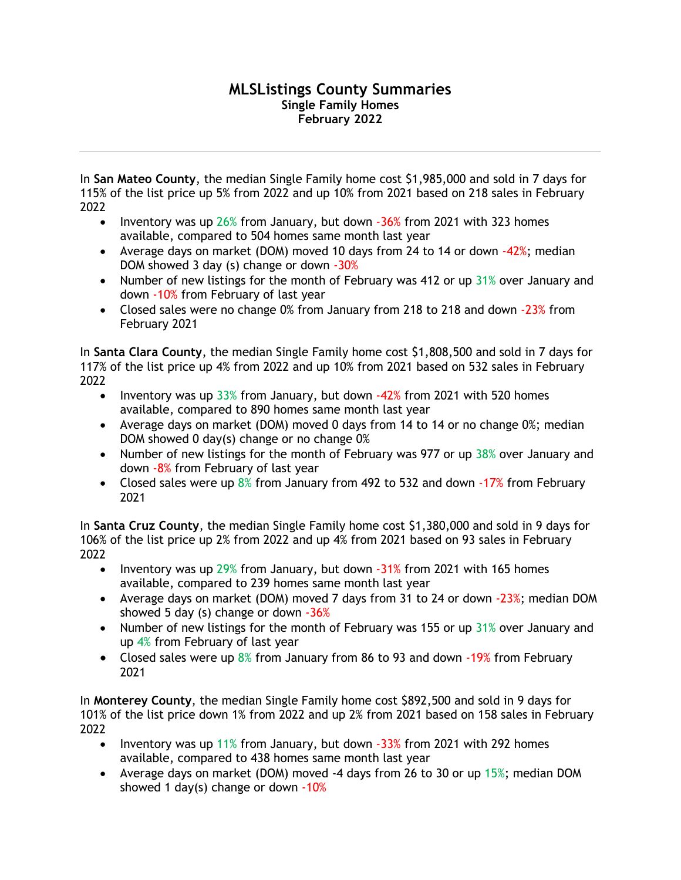## **MLSListings County Summaries Single Family Homes February 2022**

In **San Mateo County**, the median Single Family home cost \$1,985,000 and sold in 7 days for 115% of the list price up 5% from 2022 and up 10% from 2021 based on 218 sales in February 2022

- Inventory was up  $26\%$  from January, but down  $-36\%$  from 2021 with 323 homes available, compared to 504 homes same month last year
- Average days on market (DOM) moved 10 days from 24 to 14 or down  $-42\%$ ; median DOM showed 3 day (s) change or down -30%
- Number of new listings for the month of February was 412 or up  $31\%$  over January and down -10% from February of last year
- Closed sales were no change 0% from January from 218 to 218 and down -23% from February 2021

In **Santa Clara County**, the median Single Family home cost \$1,808,500 and sold in 7 days for 117% of the list price up 4% from 2022 and up 10% from 2021 based on 532 sales in February 2022

- Inventory was up 33% from January, but down -42% from 2021 with 520 homes available, compared to 890 homes same month last year
- Average days on market (DOM) moved 0 days from 14 to 14 or no change 0%; median DOM showed 0 day(s) change or no change 0%
- Number of new listings for the month of February was 977 or up 38% over January and down -8% from February of last year
- Closed sales were up 8% from January from 492 to 532 and down -17% from February 2021

In **Santa Cruz County**, the median Single Family home cost \$1,380,000 and sold in 9 days for 106% of the list price up 2% from 2022 and up 4% from 2021 based on 93 sales in February 2022

- Inventory was up 29% from January, but down -31% from 2021 with 165 homes available, compared to 239 homes same month last year
- Average days on market (DOM) moved 7 days from 31 to 24 or down -23%; median DOM showed 5 day (s) change or down  $-36%$
- Number of new listings for the month of February was 155 or up 31% over January and up 4% from February of last year
- Closed sales were up 8% from January from 86 to 93 and down -19% from February 2021

In **Monterey County**, the median Single Family home cost \$892,500 and sold in 9 days for 101% of the list price down 1% from 2022 and up 2% from 2021 based on 158 sales in February 2022

- Inventory was up 11% from January, but down  $-33%$  from 2021 with 292 homes available, compared to 438 homes same month last year
- Average days on market (DOM) moved -4 days from 26 to 30 or up 15%; median DOM showed 1 day(s) change or down  $-10\%$